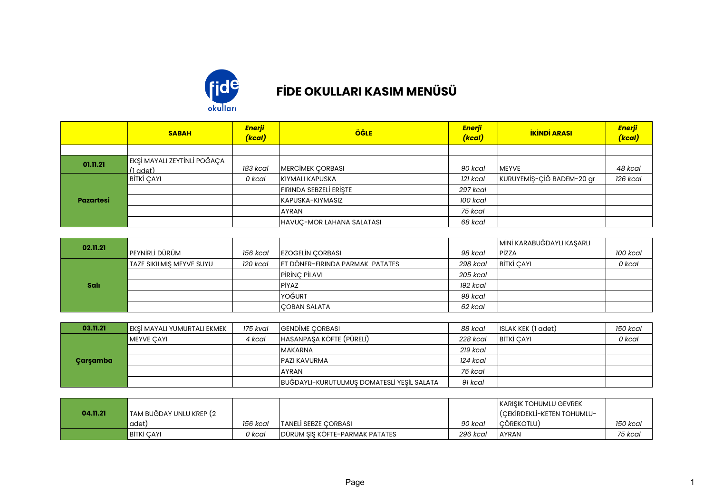

## **FİDE OKULLARI KASIM MENÜSÜ**

|                  | <b>SABAH</b>                            | Enerji<br>(kcal) | <b>ÖĞLE</b>               | Enerji<br>(kcal) | <b>İKİNDİ ARASI</b>       | Enerji<br>(kcal) |
|------------------|-----------------------------------------|------------------|---------------------------|------------------|---------------------------|------------------|
|                  |                                         |                  |                           |                  |                           |                  |
| 01.11.21         | EKŞİ MAYALI ZEYTİNLİ POĞAÇA<br>(1 adet) | 183 kcal         | MERCİMEK ÇORBASI          | 90 kcal          | <b>IMEYVE</b>             | 48 kcal          |
|                  | BİTKİ ÇAYI                              | 0 kcal           | <b>KIYMALI KAPUSKA</b>    | 121 kcal         | KURUYEMİŞ-ÇİĞ BADEM-20 gr | 126 kcal         |
|                  |                                         |                  | FIRINDA SEBZELİ ERİŞTE    | 297 kcal         |                           |                  |
| <b>Pazartesi</b> |                                         |                  | KAPUSKA-KIYMASIZ          | 100 kcal         |                           |                  |
|                  |                                         |                  | <b>AYRAN</b>              | 75 kcal          |                           |                  |
|                  |                                         |                  | HAVUÇ-MOR LAHANA SALATASI | 68 kcal          |                           |                  |

| 02.11.21    |                          |          |                                 |          | MİNİ KARABUĞDAYLI KAŞARLI |          |
|-------------|--------------------------|----------|---------------------------------|----------|---------------------------|----------|
|             | lpeynirli dürüm          | 156 kcal | <b>EZOGELIN CORBASI</b>         | 98 kcal  | <b>PizzA</b>              | 100 kcal |
|             | TAZE SIKILMIS MEYVE SUYU | 120 kcal | ET DÖNER-FIRINDA PARMAK PATATES | 298 kcal | BITKI CAYI                | 0 kcal   |
|             |                          |          | PIRINC PILAVI                   | 205 kcal |                           |          |
| <b>Sali</b> |                          |          | PİYAZ                           | 192 kcal |                           |          |
|             |                          |          | YOĞURT                          | 98 kcal  |                           |          |
|             |                          |          | COBAN SALATA                    | 62 kcal  |                           |          |

| 03.11.21 | EKSI MAYALI YUMURTALI EKMEK | 175 kval | <b>GENDIME CORBASI</b>                     | 88 kcal  | ISLAK KEK (1 adet) | 150 kcal |
|----------|-----------------------------|----------|--------------------------------------------|----------|--------------------|----------|
|          | <b>MEYVE CAYI</b>           | 4 kcal   | HASANPAŞA KÖFTE (PÜRELİ)                   | 228 kcal | BITKI CAYI         | 0 kcal   |
|          |                             |          | MAKARNA                                    | 219 kcal |                    |          |
| Çarşamba |                             |          | <b>IPAZI KAVURMA</b>                       | 124 kcal |                    |          |
|          |                             |          | <b>AYRAN</b>                               | 75 kcal  |                    |          |
|          |                             |          | BUĞDAYLI-KURUTULMUŞ DOMATESLİ YEŞİL SALATA | 91 kcal  |                    |          |

|          |                         |          |                                  |          | I KARISIK TOHUMLU GEVREK   |          |
|----------|-------------------------|----------|----------------------------------|----------|----------------------------|----------|
| 04.11.21 | TAM BUĞDAY UNLU KREP (2 |          |                                  |          | (CEKIRDEKLI-KETEN TOHUMLU- |          |
|          | adet)                   | 156 kcal | TANELİ SEBZE CORBASI             | 90 kcal  | <b>ICÖREKOTLU</b>          | 150 kcal |
|          | BİTKİ ÇAYI              | า kcal   | I DÜRÜM SİS KÖFTE-PARMAK PATATES | 296 kcal | <b>AYRAN</b>               | 75 kcar  |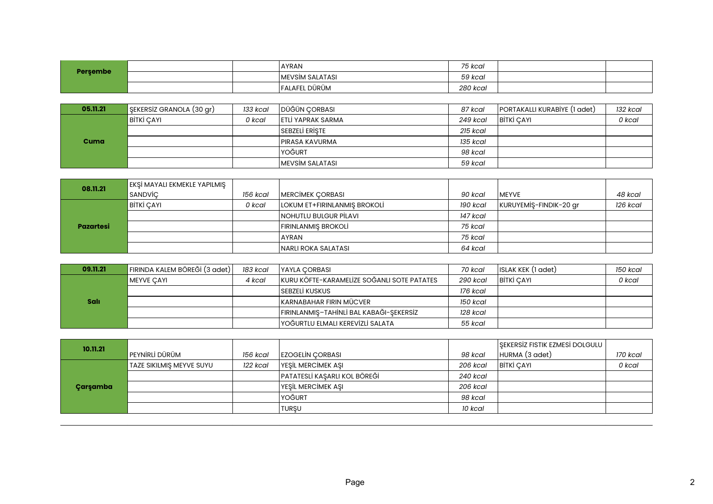| Persembe |  | <b>LAYRAN</b>           | 75 kcal  |  |
|----------|--|-------------------------|----------|--|
|          |  | <b>IMEVSIM SALATASI</b> | 59 kcal  |  |
|          |  | <b>FALAFEL DÜRÜM</b>    | 280 kcal |  |

| 05.11.21    | $\sqrt{\frac{1}{2}}$ ŞEKERSİZ GRANOLA (30 gr) | 133 kcal | DÜĞÜN CORBASI             | 87 kcal  | PORTAKALLI KURABİYE (1 adet) | 132 kcal |
|-------------|-----------------------------------------------|----------|---------------------------|----------|------------------------------|----------|
| <b>Cuma</b> | BITKI CAYL                                    | 0 kcal   | <b>IETLI YAPRAK SARMA</b> | 249 kcal | <b>BITKI CAYI</b>            | 0 kcal   |
|             |                                               |          | <b>SEBZELI ERISTE</b>     | 215 kcal |                              |          |
|             |                                               |          | IPIRASA KAVURMA           | 135 kcal |                              |          |
|             |                                               |          | <u>IYOĞURT</u>            | 98 kcal  |                              |          |
|             |                                               |          | IMEVSİM SALATASI          | 59 kcal  |                              |          |

| 08.11.21         | EKŞİ MAYALI EKMEKLE YAPILMIŞ |          |                              |          |                        |          |
|------------------|------------------------------|----------|------------------------------|----------|------------------------|----------|
|                  | SANDVİC                      | 156 kcal | <b>MERCIMEK CORBASI</b>      | 90 kcal  | <b>IMEYVE</b>          | 48 kcal  |
| <b>Pazartesi</b> | <b>BITKI ÇAYI</b>            | 0 kcal   | LOKUM ET+FIRINLANMIS BROKOLI | 190 kcal | KURUYEMİŞ-FINDIK-20 gr | 126 kcal |
|                  |                              |          | NOHUTLU BULGUR PİLAVI        | 147 kcal |                        |          |
|                  |                              |          | FIRINLANMIS BROKOLİ          | 75 kcal  |                        |          |
|                  |                              |          | <b>AYRAN</b>                 | 75 kcal  |                        |          |
|                  |                              |          | INARLI ROKA SALATASI         | 64 kcal  |                        |          |

| 09.11.21    | FIRINDA KALEM BÖREĞİ (3 adet) | 183 kcal | <b>IYAYLA CORBASI</b>                       | 70 kcal  | ISLAK KEK (1 adet) | 150 kcal |
|-------------|-------------------------------|----------|---------------------------------------------|----------|--------------------|----------|
|             | MEYVE CAYI                    | 4 kcal   | IKURU KÖFTE-KARAMELIZE SOĞANLI SOTE PATATES | 290 kcal | <b>BITKI CAYI</b>  | 0 kcal   |
|             |                               |          | ISEBZELİ KUSKUS                             | 176 kcal |                    |          |
| <b>Salı</b> |                               |          | İKARNABAHAR FIRIN MÜCVER                    | 150 kcal |                    |          |
|             |                               |          | FIRINLANMIS-TAHİNLİ BAL KABAĞI-SEKERSİZ     | 128 kcal |                    |          |
|             |                               |          | YOĞURTLU ELMALI KEREVİZLİ SALATA            | 55 kcal  |                    |          |

| 10.11.21 |                          |          |                              |          | SEKERSIZ FISTIK EZMESI DOLGULU |          |
|----------|--------------------------|----------|------------------------------|----------|--------------------------------|----------|
|          | PEYNİRLİ DÜRÜM           | 156 kcal | <b>IEZOGELIN CORBASI</b>     | 98 kcal  | HURMA (3 adet)                 | 170 kcal |
| Çarşamba | TAZE SIKILMIS MEYVE SUYU | 122 kcal | <b>YESIL MERCIMEK ASI</b>    | 206 kcal | <b>BITKI CAYI</b>              | 0 kcal   |
|          |                          |          | PATATESLİ KAŞARLI KOL BÖREĞİ | 240 kcal |                                |          |
|          |                          |          | YEŞİL MERCİMEK AŞI           | 206 kcal |                                |          |
|          |                          |          | YOĞURT                       | 98 kcal  |                                |          |
|          |                          |          | 'TURSU                       | 10 kcal  |                                |          |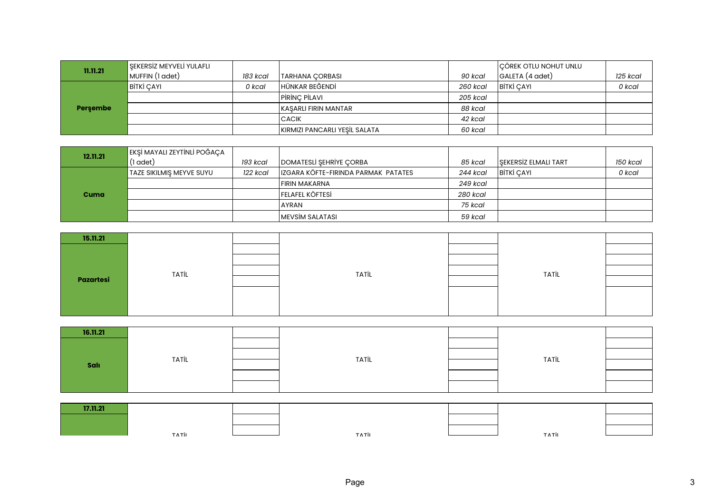| 11.11.21 | SEKERSİZ MEYVELİ YULAFLI |          |                               |          | CÖREK OTLU NOHUT UNLU |          |
|----------|--------------------------|----------|-------------------------------|----------|-----------------------|----------|
|          | MUFFIN (1 adet)          | 183 kcal | TARHANA CORBASI               | 90 kcal  | GALETA (4 adet)       | 125 kcal |
| Persembe | <b>BITKI CAYI</b>        | 0 kcal   | <sup>I</sup> HÜNKAR BEĞENDİ   | 260 kcal | <b>BITKI CAYI</b>     | 0 kcal   |
|          |                          |          | PIRINÇ PILAVI                 | 205 kcal |                       |          |
|          |                          |          | KASARLI FIRIN MANTAR          | 88 kcal  |                       |          |
|          |                          |          | <b>CACIK</b>                  | 42 kcal  |                       |          |
|          |                          |          | KIRMIZI PANCARLI YEŞİL SALATA | 60 kcal  |                       |          |

| 12.11.21 | EKŞİ MAYALI ZEYTİNLİ POĞAÇA |          |                                     |                 |                             |          |
|----------|-----------------------------|----------|-------------------------------------|-----------------|-----------------------------|----------|
|          | (1 adet)                    | 193 kcal | DOMATESLI SEHRIYE CORBA             | 85 kcal         | <b>SEKERSIZ ELMALI TART</b> | 150 kcal |
| Cuma     | TAZE SIKILMIS MEYVE SUYU    | 122 kcal | IZGARA KÖFTE-FIRINDA PARMAK PATATES | 244 kcal        | <b>BITKI CAYI</b>           | 0 kcal   |
|          |                             |          | FIRIN MAKARNA                       | 249 kcal        |                             |          |
|          |                             |          | <b>FELAFEL KÖFTESİ</b>              | <b>280 kcal</b> |                             |          |
|          |                             |          | <b>AYRAN</b>                        | 75 kcal         |                             |          |
|          |                             |          | MEVSİM SALATASI                     | 59 kcal         |                             |          |

| 15.11.21  |              |              |              |  |
|-----------|--------------|--------------|--------------|--|
|           |              |              |              |  |
|           |              |              |              |  |
|           | <b>TATİL</b> | <b>TATİL</b> | <b>TATİL</b> |  |
| Pazartesi |              |              |              |  |
|           |              |              |              |  |
|           |              |              |              |  |
|           |              |              |              |  |

| 16.11.21 |       |       |       |  |
|----------|-------|-------|-------|--|
|          |       |       |       |  |
|          | TATİL | TATİL | TATİL |  |
| Salı     |       |       |       |  |
|          |       |       |       |  |
|          |       |       |       |  |

| 17.11.21 |       |       |       |  |
|----------|-------|-------|-------|--|
|          |       |       |       |  |
|          | тлтіг | тлтіі | ⊤лтіі |  |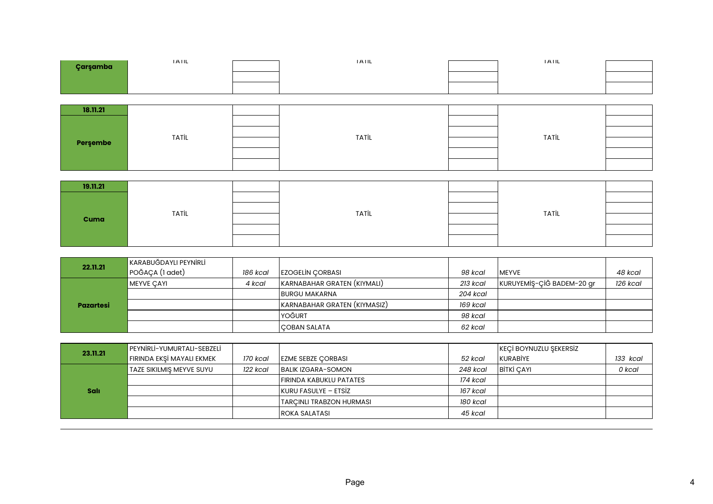| Çarşamba | <b>IAIL</b>  | <b>IAIL</b>  | <b>IAIL</b>  |  |
|----------|--------------|--------------|--------------|--|
|          |              |              |              |  |
|          |              |              |              |  |
|          |              |              |              |  |
| 18.11.21 |              |              |              |  |
|          |              |              |              |  |
|          | <b>TATİL</b> | <b>TATİL</b> | <b>TATİL</b> |  |
| Perşembe |              |              |              |  |
|          |              |              |              |  |
|          |              |              |              |  |
|          |              |              |              |  |
| 19.11.21 |              |              |              |  |
|          |              |              |              |  |
|          | <b>TATİL</b> | <b>TATİL</b> | <b>TATİL</b> |  |
| Cuma     |              |              |              |  |

| 22.11.21         | KARABUĞDAYLI PEYNİRLİ |          |                              |          |                           |          |
|------------------|-----------------------|----------|------------------------------|----------|---------------------------|----------|
|                  | POĞAÇA (1 adet)       | 186 kcal | <b>EZOGELIN CORBASI</b>      | 98 kcal  | <b>IMEYVE</b>             | 48 kcal  |
|                  | MEYVE CAYI            | 4 kcal   | KARNABAHAR GRATEN (KIYMALI)  | 213 kcal | KURUYEMİŞ-ÇİĞ BADEM-20 gr | 126 kcal |
|                  |                       |          | <b>BURGU MAKARNA</b>         | 204 kcal |                           |          |
| <b>Pazartesi</b> |                       |          | KARNABAHAR GRATEN (KIYMASIZ) | 169 kcal |                           |          |
|                  |                       |          | YOĞURT                       | 98 kcal  |                           |          |
|                  |                       |          | <b>COBAN SALATA</b>          | 62 kcal  |                           |          |

| 23.11.21    | PEYNIRLI-YUMURTALI-SEBZELI |          |                           |          | KEÇİ BOYNUZLU ŞEKERSİZ |          |
|-------------|----------------------------|----------|---------------------------|----------|------------------------|----------|
|             | FIRINDA EKSİ MAYALI EKMEK  | 170 kcal | <b>EZME SEBZE CORBASI</b> | 52 kcal  | KURABİYE               | 133 kcal |
|             | TAZE SIKILMIS MEYVE SUYU   | 122 kcal | <b>BALIK IZGARA-SOMON</b> | 248 kcal | <b>BITKI CAYI</b>      | 0 kcal   |
|             |                            |          | FIRINDA KABUKLU PATATES   | 174 kcal |                        |          |
| <b>Sali</b> |                            |          | KURU FASULYE – ETSİZ      | 167 kcal |                        |          |
|             |                            |          | TARCINLI TRABZON HURMASI  | 180 kcal |                        |          |
|             |                            |          | <b>ROKA SALATASI</b>      | 45 kcal  |                        |          |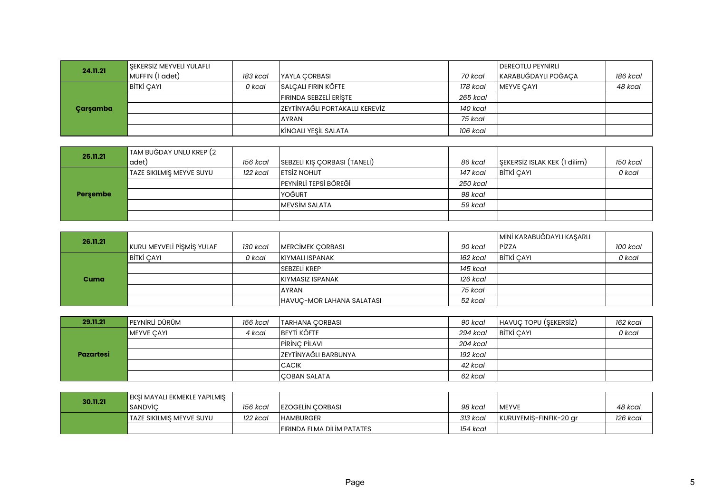| 24.11.21 | <b>SEKERSIZ MEYVELI YULAFLI</b> |          |                                 |          | <b>DEREOTLU PEYNIRLI</b> |          |
|----------|---------------------------------|----------|---------------------------------|----------|--------------------------|----------|
|          | MUFFIN (1 adet)                 | 183 kcal | IYAYLA CORBASI                  | 70 kcal  | KARABUĞDAYLI POĞAÇA      | 186 kcal |
|          | BİTKİ ÇAYI                      | 0 kcal   | SALCALI FIRIN KÖFTE             | 178 kcal | <b>MEYVE CAYI</b>        | 48 kcal  |
| Çarşamba |                                 |          | FIRINDA SEBZELİ ERİŞTE          | 265 kcal |                          |          |
|          |                                 |          | İZEYTİNYAĞLI PORTAKALLI KEREVİZ | 140 kcal |                          |          |
|          |                                 |          | <b>AYRAN</b>                    | 75 kcal  |                          |          |
|          |                                 |          | KİNOALI YEŞİL SALATA            | 106 kcal |                          |          |

| 25.11.21 | TAM BUĞDAY UNLU KREP (2  |          |                              |          |                              |          |
|----------|--------------------------|----------|------------------------------|----------|------------------------------|----------|
|          | adet)                    | 156 kcal | SEBZELİ KIŞ ÇORBASI (TANELİ) | 86 kcal  | SEKERSIZ ISLAK KEK (1 dilim) | 150 kcal |
|          | TAZE SIKILMIŞ MEYVE SUYU | 122 kcal | <b>ETSIZ NOHUT</b>           | 147 kcal | <b>BITKI CAYI</b>            | 0 kcal   |
| Persembe |                          |          | PEYNIRLI TEPSI BÖREĞİ        | 250 kcal |                              |          |
|          |                          |          | YOĞURT                       | 98 kcal  |                              |          |
|          |                          |          | MEVSİM SALATA                | 59 kcal  |                              |          |
|          |                          |          |                              |          |                              |          |

| 26.11.21 |                           |          |                           |          | MİNİ KARABUĞDAYLI KAŞARLI |          |
|----------|---------------------------|----------|---------------------------|----------|---------------------------|----------|
|          | KURU MEYVELİ PİŞMİŞ YULAF | 130 kcal | <b>MERCIMEK CORBASI</b>   | 90 kcal  | PizzA                     | 100 kcal |
|          | BİTKİ ÇAYI                | 0 kcal   | KIYMALI ISPANAK           | 162 kcal | <b>BITKI ÇAYI</b>         | 0 kcal   |
|          |                           |          | lsebzeli krep             | 145 kcal |                           |          |
| Cuma     |                           |          | <b>KIYMASIZ ISPANAK</b>   | 126 kcal |                           |          |
|          |                           |          | <b>AYRAN</b>              | 75 kcal  |                           |          |
|          |                           |          | HAVUC-MOR LAHANA SALATASI | 52 kcal  |                           |          |

| 29.11.21         | PEYNIRLİ DÜRÜM | 156 kcal | TARHANA CORBASI        | 90 kcal  | HAVUC TOPU (SEKERSIZ) | 162 kcal |
|------------------|----------------|----------|------------------------|----------|-----------------------|----------|
| <b>Pazartesi</b> | MEYVE CAYI     | 4 kcal   | <b>BEYTI KÖFTE</b>     | 294 kcal | <b>BITKI CAYI</b>     | 0 kcal   |
|                  |                |          | PIRINC PILAVI          | 204 kcal |                       |          |
|                  |                |          | İ ZEYTİNYAĞLI BARBUNYA | 192 kcal |                       |          |
|                  |                |          | <b>CACIK</b>           | 42 kcal  |                       |          |
|                  |                |          | COBAN SALATA           | 62 kcal  |                       |          |

| 30.11.21 | EKSİ MAYALI EKMEKLE YAPILMIS |          |                            |          |                        |          |
|----------|------------------------------|----------|----------------------------|----------|------------------------|----------|
|          | <b>SANDVIC</b>               | 156 kcal | <b>IEZOGELIN CORBASI</b>   | 98 kcal  | <b>IMEYVE</b>          | 48 kcal  |
|          | 'TAZE SIKILMIS MEYVE SUYU    | 122 kcal | <b>HAMBURGER</b>           | 313 kcal | KURUYEMIS-FINFIK-20 gr | 126 kcal |
|          |                              |          | FIRINDA ELMA DILIM PATATES | 154 kcal |                        |          |